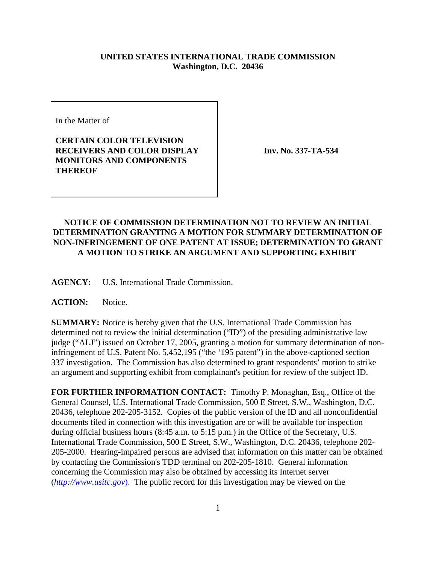## **UNITED STATES INTERNATIONAL TRADE COMMISSION Washington, D.C. 20436**

In the Matter of

## **CERTAIN COLOR TELEVISION RECEIVERS AND COLOR DISPLAY MONITORS AND COMPONENTS THEREOF**

**Inv. No. 337-TA-534**

## **NOTICE OF COMMISSION DETERMINATION NOT TO REVIEW AN INITIAL DETERMINATION GRANTING A MOTION FOR SUMMARY DETERMINATION OF NON-INFRINGEMENT OF ONE PATENT AT ISSUE; DETERMINATION TO GRANT A MOTION TO STRIKE AN ARGUMENT AND SUPPORTING EXHIBIT**

**AGENCY:** U.S. International Trade Commission.

ACTION: Notice.

**SUMMARY:** Notice is hereby given that the U.S. International Trade Commission has determined not to review the initial determination ("ID") of the presiding administrative law judge ("ALJ") issued on October 17, 2005, granting a motion for summary determination of noninfringement of U.S. Patent No. 5,452,195 ("the '195 patent") in the above-captioned section 337 investigation. The Commission has also determined to grant respondents' motion to strike an argument and supporting exhibit from complainant's petition for review of the subject ID.

**FOR FURTHER INFORMATION CONTACT:** Timothy P. Monaghan, Esq., Office of the General Counsel, U.S. International Trade Commission, 500 E Street, S.W., Washington, D.C. 20436, telephone 202-205-3152. Copies of the public version of the ID and all nonconfidential documents filed in connection with this investigation are or will be available for inspection during official business hours (8:45 a.m. to 5:15 p.m.) in the Office of the Secretary, U.S. International Trade Commission, 500 E Street, S.W., Washington, D.C. 20436, telephone 202- 205-2000. Hearing-impaired persons are advised that information on this matter can be obtained by contacting the Commission's TDD terminal on 202-205-1810. General information concerning the Commission may also be obtained by accessing its Internet server (*http://www.usitc.gov*). The public record for this investigation may be viewed on the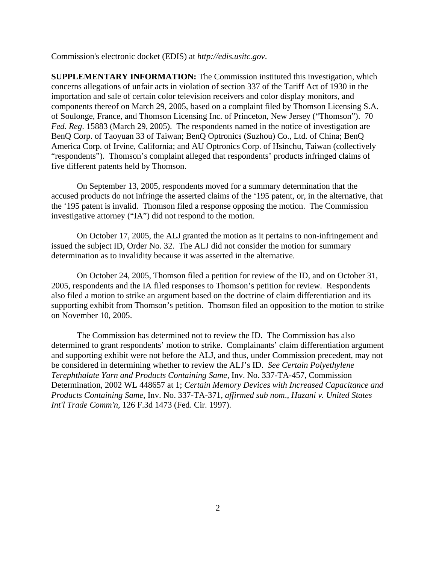Commission's electronic docket (EDIS) at *http://edis.usitc.gov*.

**SUPPLEMENTARY INFORMATION:** The Commission instituted this investigation, which concerns allegations of unfair acts in violation of section 337 of the Tariff Act of 1930 in the importation and sale of certain color television receivers and color display monitors, and components thereof on March 29, 2005, based on a complaint filed by Thomson Licensing S.A. of Soulonge, France, and Thomson Licensing Inc. of Princeton, New Jersey ("Thomson"). 70 *Fed. Reg*. 15883 (March 29, 2005). The respondents named in the notice of investigation are BenQ Corp. of Taoyuan 33 of Taiwan; BenQ Optronics (Suzhou) Co., Ltd. of China; BenQ America Corp. of Irvine, California; and AU Optronics Corp. of Hsinchu, Taiwan (collectively "respondents"). Thomson's complaint alleged that respondents' products infringed claims of five different patents held by Thomson.

On September 13, 2005, respondents moved for a summary determination that the accused products do not infringe the asserted claims of the '195 patent, or, in the alternative, that the '195 patent is invalid. Thomson filed a response opposing the motion. The Commission investigative attorney ("IA") did not respond to the motion.

On October 17, 2005, the ALJ granted the motion as it pertains to non-infringement and issued the subject ID, Order No. 32. The ALJ did not consider the motion for summary determination as to invalidity because it was asserted in the alternative.

On October 24, 2005, Thomson filed a petition for review of the ID, and on October 31, 2005, respondents and the IA filed responses to Thomson's petition for review. Respondents also filed a motion to strike an argument based on the doctrine of claim differentiation and its supporting exhibit from Thomson's petition. Thomson filed an opposition to the motion to strike on November 10, 2005.

The Commission has determined not to review the ID. The Commission has also determined to grant respondents' motion to strike. Complainants' claim differentiation argument and supporting exhibit were not before the ALJ, and thus, under Commission precedent, may not be considered in determining whether to review the ALJ's ID. *See Certain Polyethylene Terephthalate Yarn and Products Containing Same,* Inv. No. 337-TA-457, Commission Determination, 2002 WL 448657 at 1; *Certain Memory Devices with Increased Capacitance and Products Containing Same*, Inv. No. 337-TA-371, *affirmed sub nom*., *Hazani v. United States Int'l Trade Comm'n,* 126 F.3d 1473 (Fed. Cir. 1997).